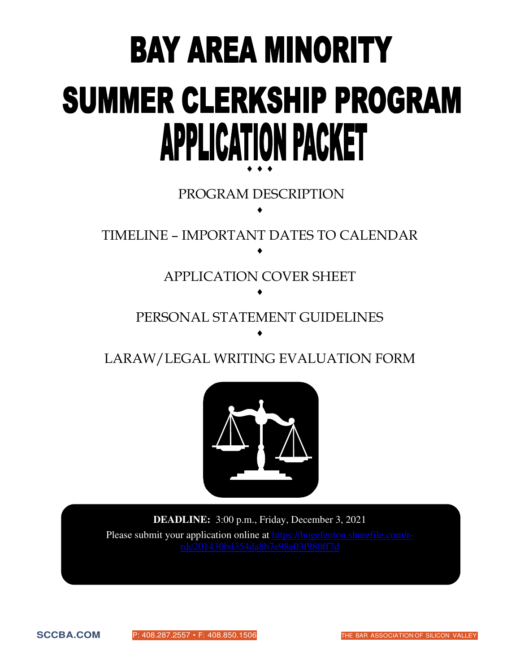# **BAY AREA MINORITY SUMMER CLERKSHIP PROGRAM APPLICATION PACKET**  $\bullet$   $\bullet$   $\bullet$

 PROGRAM DESCRIPTION  $\blacklozenge$ 

TIMELINE – IMPORTANT DATES TO CALENDAR  $\blacklozenge$ 

> APPLICATION COVER SHEET  $\blacklozenge$

PERSONAL STATEMENT GUIDELINES  $\blacklozenge$ 

LARAW/LEGAL WRITING EVALUATION FORM



**DEADLINE:** 3:00 p.m., Friday, December 3, 2021 Please submit your application online at [https://hogefenton.sharefile.com/r](https://hogefenton.sharefile.com/r-rdc201430bd354da8b7e98e03f980ff7d)[rdc201430bd354da8b7e98e03f980ff7d](https://hogefenton.sharefile.com/r-rdc201430bd354da8b7e98e03f980ff7d)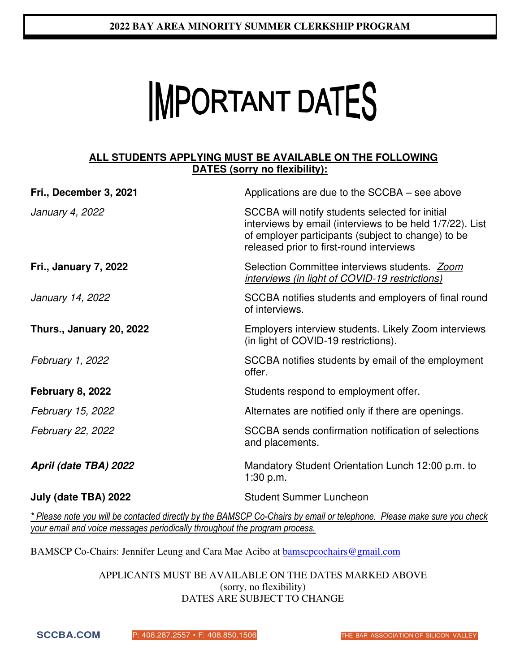# **IMPORTANT DATES**

#### **AALL STUDENTS APPLYING MUST BE AVAILABLE ON THE FOLLOWING DATES (sorry no flexibility):**

| Applications are due to the SCCBA – see above                                                                                                                                                                 |  |  |
|---------------------------------------------------------------------------------------------------------------------------------------------------------------------------------------------------------------|--|--|
| SCCBA will notify students selected for initial<br>interviews by email (interviews to be held 1/7/22). List<br>of employer participants (subject to change) to be<br>released prior to first-round interviews |  |  |
| Selection Committee interviews students. Zoom<br>interviews (in light of COVID-19 restrictions)                                                                                                               |  |  |
| SCCBA notifies students and employers of final round<br>of interviews.                                                                                                                                        |  |  |
| Employers interview students. Likely Zoom interviews<br>(in light of COVID-19 restrictions).                                                                                                                  |  |  |
| SCCBA notifies students by email of the employment<br>offer.                                                                                                                                                  |  |  |
| Students respond to employment offer.                                                                                                                                                                         |  |  |
| Alternates are notified only if there are openings.                                                                                                                                                           |  |  |
| SCCBA sends confirmation notification of selections<br>and placements.                                                                                                                                        |  |  |
| Mandatory Student Orientation Lunch 12:00 p.m. to<br>1:30 p.m.                                                                                                                                                |  |  |
| <b>Student Summer Luncheon</b>                                                                                                                                                                                |  |  |
|                                                                                                                                                                                                               |  |  |

*\* Please note you will be contacted directly by the BAMSCP Co-Chairs by email or telephone. Please make sure you check your email and voice messages periodically throughout the program process.*

BAMSCP Co-Chairs: Jennifer Leung and Cara Mae Acibo at bamscpcochairs@gmail.com

#### APPLICANTS MUST BE AVAILABLE ON THE DATES MARKED ABOVE (sorry, no flexibility) DATES ARE SUBJECT TO CHANGE

**SCCBA.COM** P: 408.287.2557 • F: 408.850.1506 THE BAR ASSOCIATION OF SILICON VALLEY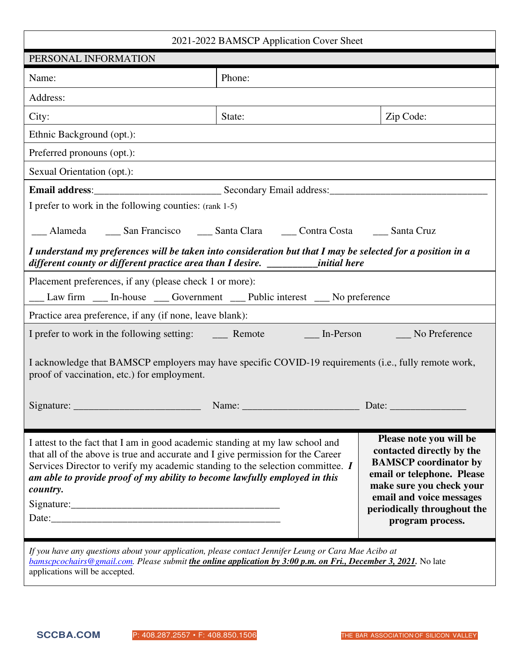| 2021-2022 BAMSCP Application Cover Sheet                                                                                                                                                                                                                                                                                                     |        |                                                                                                                                                                                                                               |  |  |  |  |  |  |
|----------------------------------------------------------------------------------------------------------------------------------------------------------------------------------------------------------------------------------------------------------------------------------------------------------------------------------------------|--------|-------------------------------------------------------------------------------------------------------------------------------------------------------------------------------------------------------------------------------|--|--|--|--|--|--|
| PERSONAL INFORMATION                                                                                                                                                                                                                                                                                                                         |        |                                                                                                                                                                                                                               |  |  |  |  |  |  |
| Name:                                                                                                                                                                                                                                                                                                                                        | Phone: |                                                                                                                                                                                                                               |  |  |  |  |  |  |
| Address:                                                                                                                                                                                                                                                                                                                                     |        |                                                                                                                                                                                                                               |  |  |  |  |  |  |
| City:                                                                                                                                                                                                                                                                                                                                        | State: | Zip Code:                                                                                                                                                                                                                     |  |  |  |  |  |  |
| Ethnic Background (opt.):                                                                                                                                                                                                                                                                                                                    |        |                                                                                                                                                                                                                               |  |  |  |  |  |  |
| Preferred pronouns (opt.):                                                                                                                                                                                                                                                                                                                   |        |                                                                                                                                                                                                                               |  |  |  |  |  |  |
| Sexual Orientation (opt.):                                                                                                                                                                                                                                                                                                                   |        |                                                                                                                                                                                                                               |  |  |  |  |  |  |
|                                                                                                                                                                                                                                                                                                                                              |        |                                                                                                                                                                                                                               |  |  |  |  |  |  |
| I prefer to work in the following counties: (rank 1-5)                                                                                                                                                                                                                                                                                       |        |                                                                                                                                                                                                                               |  |  |  |  |  |  |
| __ Alameda _____ San Francisco _____ Santa Clara _____ Contra Costa _____ Santa Cruz                                                                                                                                                                                                                                                         |        |                                                                                                                                                                                                                               |  |  |  |  |  |  |
| I understand my preferences will be taken into consideration but that I may be selected for a position in a<br>different county or different practice area than I desire. _______initial here                                                                                                                                                |        |                                                                                                                                                                                                                               |  |  |  |  |  |  |
| Placement preferences, if any (please check 1 or more):                                                                                                                                                                                                                                                                                      |        |                                                                                                                                                                                                                               |  |  |  |  |  |  |
| __ Law firm __ In-house __ Government __ Public interest __ No preference                                                                                                                                                                                                                                                                    |        |                                                                                                                                                                                                                               |  |  |  |  |  |  |
| Practice area preference, if any (if none, leave blank):                                                                                                                                                                                                                                                                                     |        |                                                                                                                                                                                                                               |  |  |  |  |  |  |
|                                                                                                                                                                                                                                                                                                                                              |        |                                                                                                                                                                                                                               |  |  |  |  |  |  |
| I acknowledge that BAMSCP employers may have specific COVID-19 requirements (i.e., fully remote work,<br>proof of vaccination, etc.) for employment.                                                                                                                                                                                         |        |                                                                                                                                                                                                                               |  |  |  |  |  |  |
|                                                                                                                                                                                                                                                                                                                                              |        |                                                                                                                                                                                                                               |  |  |  |  |  |  |
|                                                                                                                                                                                                                                                                                                                                              |        |                                                                                                                                                                                                                               |  |  |  |  |  |  |
| I attest to the fact that I am in good academic standing at my law school and<br>that all of the above is true and accurate and I give permission for the Career<br>Services Director to verify my academic standing to the selection committee. I<br>am able to provide proof of my ability to become lawfully employed in this<br>country. |        | Please note you will be<br>contacted directly by the<br><b>BAMSCP</b> coordinator by<br>email or telephone. Please<br>make sure you check your<br>email and voice messages<br>periodically throughout the<br>program process. |  |  |  |  |  |  |
| If you have any questions about your application, please contact Jennifer Leung or Cara Mae Acibo at<br>bamscpcochairs@gmail.com. Please submit the online application by 3:00 p.m. on Fri., December 3, 2021. No late<br>applications will be accepted.                                                                                     |        |                                                                                                                                                                                                                               |  |  |  |  |  |  |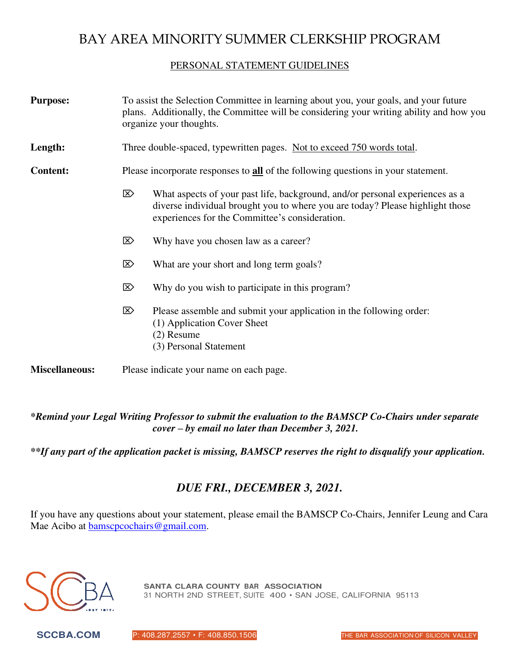# BAY AREA MINORITY SUMMER CLERKSHIP PROGRAM

#### PERSONAL STATEMENT GUIDELINES

| <b>Purpose:</b>       | To assist the Selection Committee in learning about you, your goals, and your future<br>plans. Additionally, the Committee will be considering your writing ability and how you<br>organize your thoughts. |                                                                                                                                                                                                                 |  |  |  |  |
|-----------------------|------------------------------------------------------------------------------------------------------------------------------------------------------------------------------------------------------------|-----------------------------------------------------------------------------------------------------------------------------------------------------------------------------------------------------------------|--|--|--|--|
| Length:               | Three double-spaced, typewritten pages. Not to exceed 750 words total.                                                                                                                                     |                                                                                                                                                                                                                 |  |  |  |  |
| <b>Content:</b>       | Please incorporate responses to all of the following questions in your statement.                                                                                                                          |                                                                                                                                                                                                                 |  |  |  |  |
|                       | ⊠                                                                                                                                                                                                          | What aspects of your past life, background, and/or personal experiences as a<br>diverse individual brought you to where you are today? Please highlight those<br>experiences for the Committee's consideration. |  |  |  |  |
|                       | ⊠                                                                                                                                                                                                          | Why have you chosen law as a career?                                                                                                                                                                            |  |  |  |  |
|                       | ⊠                                                                                                                                                                                                          | What are your short and long term goals?                                                                                                                                                                        |  |  |  |  |
|                       | ⊠                                                                                                                                                                                                          | Why do you wish to participate in this program?                                                                                                                                                                 |  |  |  |  |
|                       | $\mathbb{Z}$                                                                                                                                                                                               | Please assemble and submit your application in the following order:<br>(1) Application Cover Sheet<br>$(2)$ Resume<br>(3) Personal Statement                                                                    |  |  |  |  |
| <b>Miscellaneous:</b> |                                                                                                                                                                                                            | Please indicate your name on each page.                                                                                                                                                                         |  |  |  |  |

*\*Remind your Legal Writing Professor to submit the evaluation to the BAMSCP Co-Chairs under separate cover – by email no later than December 3, 2021.* 

*\*\*If any part of the application packet is missing, BAMSCP reserves the right to disqualify your application.* 

### *DUE FRI., DECEMBER 3, 2021.*

If you have any questions about your statement, please email the BAMSCP Co-Chairs, Jennifer Leung and Cara Mae Acibo at **bamscpcochairs@gmail.com.** 



**SANTA CLARA COUNTY BAR ASSOCIATION** 31 NORTH 2ND STREET, SUITE 400 • SAN JOSE, CALIFORNIA 95113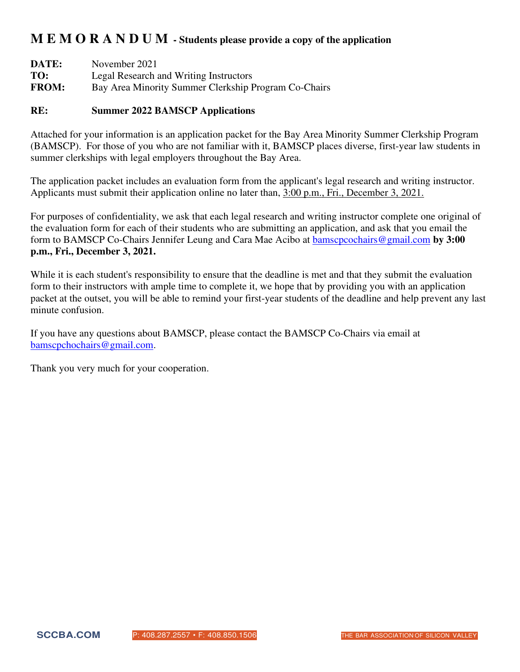## **M E M O R A N D U M - Students please provide a copy of the application**

| DATE:        | November 2021                                        |
|--------------|------------------------------------------------------|
| TO:          | Legal Research and Writing Instructors               |
| <b>FROM:</b> | Bay Area Minority Summer Clerkship Program Co-Chairs |

#### **RE: Summer 2022 BAMSCP Applications**

Attached for your information is an application packet for the Bay Area Minority Summer Clerkship Program (BAMSCP). For those of you who are not familiar with it, BAMSCP places diverse, first-year law students in summer clerkships with legal employers throughout the Bay Area.

 The application packet includes an evaluation form from the applicant's legal research and writing instructor. Applicants must submit their application online no later than, 3:00 p.m., Fri., December 3, 2021.

For purposes of confidentiality, we ask that each legal research and writing instructor complete one original of the evaluation form for each of their students who are submitting an application, and ask that you email the form to BAMSCP Co-Chairs Jennifer Leung and Cara Mae Acibo at [bamscpcochairs@gmail.com](mailto:bamscpcochairs@gmail.com) **by 3:00 p.m., Fri., December 3, 2021.**

While it is each student's responsibility to ensure that the deadline is met and that they submit the evaluation form to their instructors with ample time to complete it, we hope that by providing you with an application packet at the outset, you will be able to remind your first-year students of the deadline and help prevent any last minute confusion.

If you have any questions about BAMSCP, please contact the BAMSCP Co-Chairs via email at [bamscpchochairs@gmail.com.](mailto:bamscpchochairs@gmail.com)

Thank you very much for your cooperation.